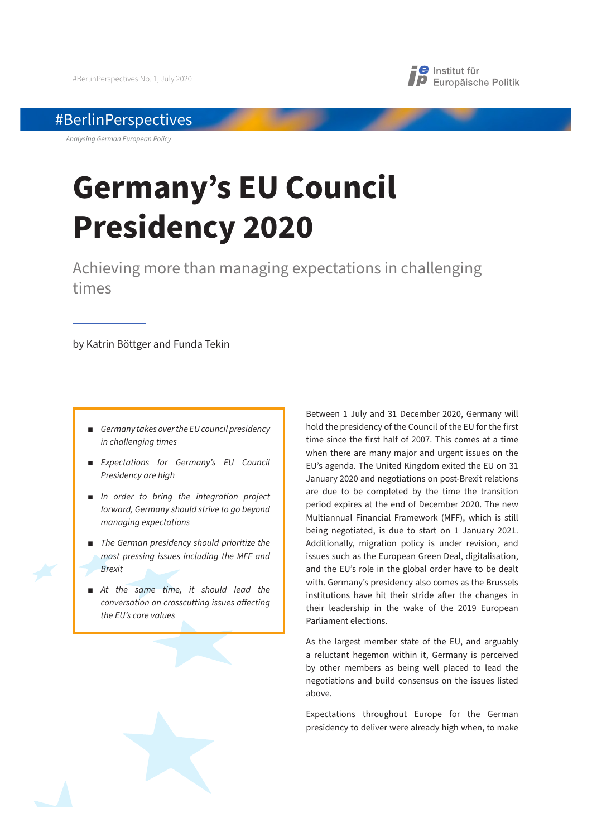

## #BerlinPerspectives

*Analysing German European Policy*

# **Germany's EU Council Presidency 2020**

Achieving more than managing expectations in challenging times

by Katrin Böttger and Funda Tekin

- $\blacksquare$  *Germany takes over the EU council presidency in challenging times*
- **Expectations for Germany's EU Council** *Presidency are high*
- *In order to bring the integration project forward, Germany should strive to go beyond managing expectations*
- **The German presidency should prioritize the** *most pressing issues including the MFF and Brexit*
- At the same time, it should lead the *conversation on crosscutting issues a*!*ecting the EU's core values*

Between 1 July and 31 December 2020, Germany will hold the presidency of the Council of the EU for the first time since the first half of 2007. This comes at a time when there are many major and urgent issues on the EU's agenda. The United Kingdom exited the EU on 31 January 2020 and negotiations on post-Brexit relations are due to be completed by the time the transition period expires at the end of December 2020. The new Multiannual Financial Framework (MFF), which is still being negotiated, is due to start on 1 January 2021. Additionally, migration policy is under revision, and issues such as the European Green Deal, digitalisation, and the EU's role in the global order have to be dealt with. Germany's presidency also comes as the Brussels institutions have hit their stride after the changes in their leadership in the wake of the 2019 European Parliament elections.

As the largest member state of the EU, and arguably a reluctant hegemon within it, Germany is perceived by other members as being well placed to lead the negotiations and build consensus on the issues listed above.

Expectations throughout Europe for the German presidency to deliver were already high when, to make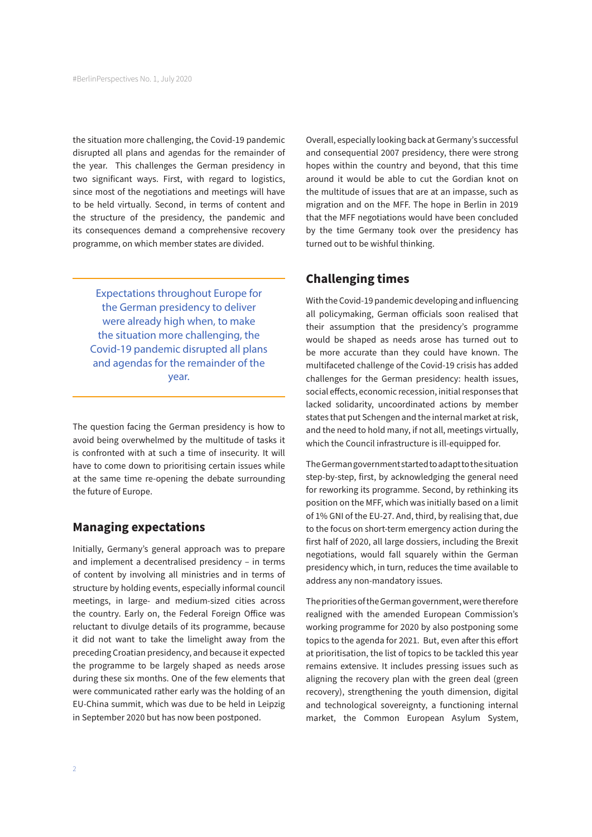the situation more challenging, the Covid-19 pandemic disrupted all plans and agendas for the remainder of the year. This challenges the German presidency in two significant ways. First, with regard to logistics, since most of the negotiations and meetings will have to be held virtually. Second, in terms of content and the structure of the presidency, the pandemic and its consequences demand a comprehensive recovery programme, on which member states are divided.

Expectations throughout Europe for the German presidency to deliver were already high when, to make the situation more challenging, the Covid-19 pandemic disrupted all plans and agendas for the remainder of the year.

The question facing the German presidency is how to avoid being overwhelmed by the multitude of tasks it is confronted with at such a time of insecurity. It will have to come down to prioritising certain issues while at the same time re-opening the debate surrounding the future of Europe.

## **Managing expectations**

Initially, Germany's general approach was to prepare and implement a decentralised presidency – in terms of content by involving all ministries and in terms of structure by holding events, especially informal council meetings, in large- and medium-sized cities across the country. Early on, the Federal Foreign Office was reluctant to divulge details of its programme, because it did not want to take the limelight away from the preceding Croatian presidency, and because it expected the programme to be largely shaped as needs arose during these six months. One of the few elements that were communicated rather early was the holding of an EU-China summit, which was due to be held in Leipzig in September 2020 but has now been postponed.

Overall, especially looking back at Germany's successful and consequential 2007 presidency, there were strong hopes within the country and beyond, that this time around it would be able to cut the Gordian knot on the multitude of issues that are at an impasse, such as migration and on the MFF. The hope in Berlin in 2019 that the MFF negotiations would have been concluded by the time Germany took over the presidency has turned out to be wishful thinking.

## **Challenging times**

With the Covid-19 pandemic developing and influencing all policymaking, German officials soon realised that their assumption that the presidency's programme would be shaped as needs arose has turned out to be more accurate than they could have known. The multifaceted challenge of the Covid-19 crisis has added challenges for the German presidency: health issues, social effects, economic recession, initial responses that lacked solidarity, uncoordinated actions by member states that put Schengen and the internal market at risk, and the need to hold many, if not all, meetings virtually, which the Council infrastructure is ill-equipped for.

The German government started to adapt to the situation step-by-step, first, by acknowledging the general need for reworking its programme. Second, by rethinking its position on the MFF, which was initially based on a limit of 1% GNI of the EU-27. And, third, by realising that, due to the focus on short-term emergency action during the first half of 2020, all large dossiers, including the Brexit negotiations, would fall squarely within the German presidency which, in turn, reduces the time available to address any non-mandatory issues.

The priorities of the German government, were therefore realigned with the amended European Commission's working programme for 2020 by also postponing some topics to the agenda for 2021. But, even after this effort at prioritisation, the list of topics to be tackled this year remains extensive. It includes pressing issues such as aligning the recovery plan with the green deal (green recovery), strengthening the youth dimension, digital and technological sovereignty, a functioning internal market, the Common European Asylum System,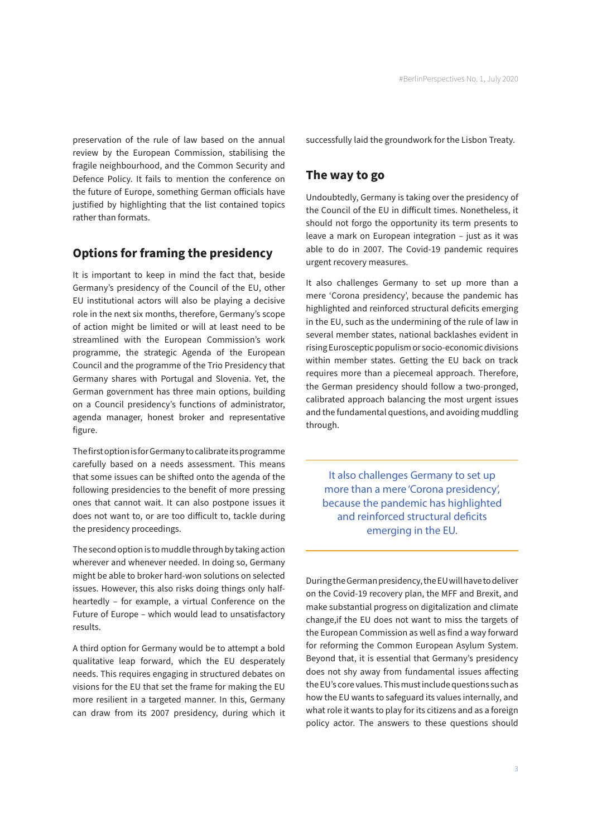preservation of the rule of law based on the annual review by the European Commission, stabilising the fragile neighbourhood, and the Common Security and Defence Policy. It fails to mention the conference on the future of Europe, something German officials have justified by highlighting that the list contained topics rather than formats.

### **Options for framing the presidency**

It is important to keep in mind the fact that, beside Germany's presidency of the Council of the EU, other EU institutional actors will also be playing a decisive role in the next six months, therefore, Germany's scope of action might be limited or will at least need to be streamlined with the European Commission's work programme, the strategic Agenda of the European Council and the programme of the Trio Presidency that Germany shares with Portugal and Slovenia. Yet, the German government has three main options, building on a Council presidency's functions of administrator, agenda manager, honest broker and representative figure.

The first option is for Germany to calibrate its programme carefully based on a needs assessment. This means that some issues can be shifted onto the agenda of the following presidencies to the benefit of more pressing ones that cannot wait. It can also postpone issues it does not want to, or are too difficult to, tackle during the presidency proceedings.

The second option is to muddle through by taking action wherever and whenever needed. In doing so, Germany might be able to broker hard-won solutions on selected issues. However, this also risks doing things only halfheartedly – for example, a virtual Conference on the Future of Europe – which would lead to unsatisfactory results.

A third option for Germany would be to attempt a bold qualitative leap forward, which the EU desperately needs. This requires engaging in structured debates on visions for the EU that set the frame for making the EU more resilient in a targeted manner. In this, Germany can draw from its 2007 presidency, during which it successfully laid the groundwork for the Lisbon Treaty.

#### **The way to go**

Undoubtedly, Germany is taking over the presidency of the Council of the EU in difficult times. Nonetheless, it should not forgo the opportunity its term presents to leave a mark on European integration – just as it was able to do in 2007. The Covid-19 pandemic requires urgent recovery measures.

It also challenges Germany to set up more than a mere 'Corona presidency', because the pandemic has highlighted and reinforced structural deficits emerging in the EU, such as the undermining of the rule of law in several member states, national backlashes evident in rising Eurosceptic populism or socio-economic divisions within member states. Getting the EU back on track requires more than a piecemeal approach. Therefore, the German presidency should follow a two-pronged, calibrated approach balancing the most urgent issues and the fundamental questions, and avoiding muddling through.

It also challenges Germany to set up more than a mere 'Corona presidency', because the pandemic has highlighted and reinforced structural deficits emerging in the EU.

During the German presidency, the EU will have to deliver on the Covid-19 recovery plan, the MFF and Brexit, and make substantial progress on digitalization and climate change,if the EU does not want to miss the targets of the European Commission as well as find a way forward for reforming the Common European Asylum System. Beyond that, it is essential that Germany's presidency does not shy away from fundamental issues affecting the EU's core values. This must include questions such as how the EU wants to safeguard its values internally, and what role it wants to play for its citizens and as a foreign policy actor. The answers to these questions should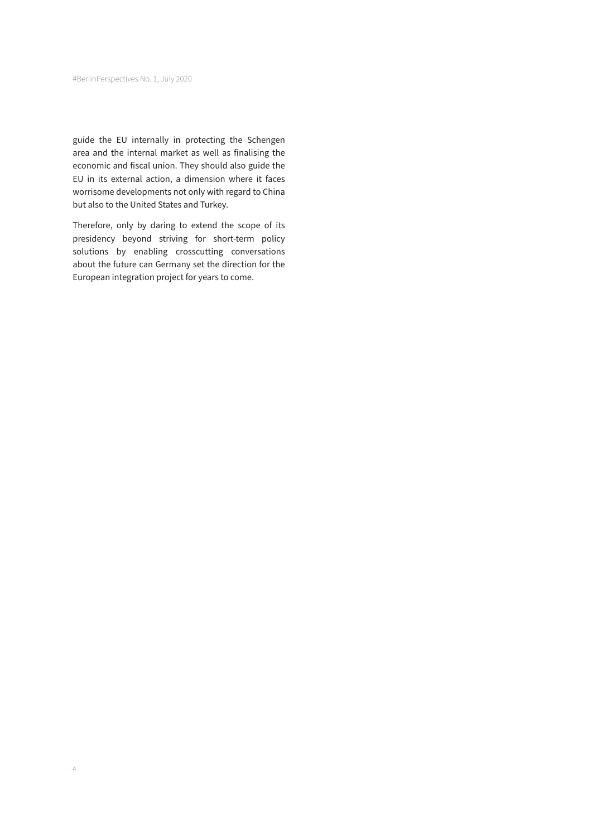guide the EU internally in protecting the Schengen area and the internal market as well as finalising the economic and fiscal union. They should also guide the EU in its external action, a dimension where it faces worrisome developments not only with regard to China but also to the United States and Turkey.

Therefore, only by daring to extend the scope of its presidency beyond striving for short-term policy solutions by enabling crosscutting conversations about the future can Germany set the direction for the European integration project for years to come.